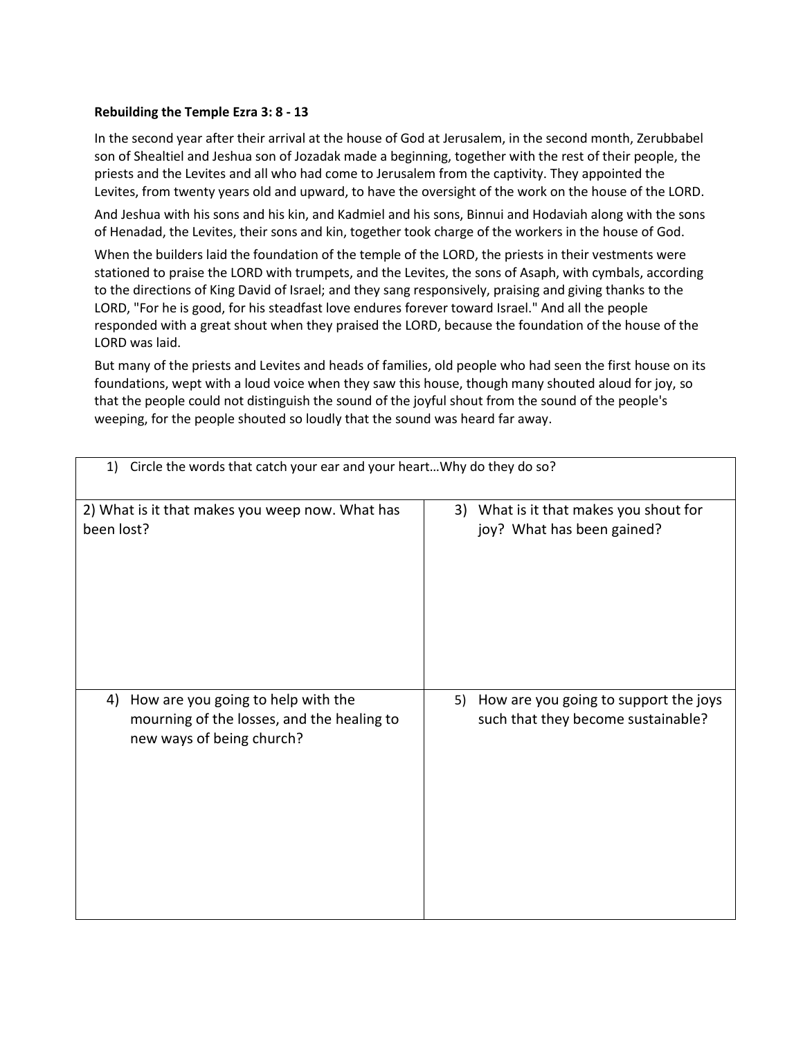## **Rebuilding the Temple Ezra 3: 8 - 13**

In the second year after their arrival at the house of God at Jerusalem, in the second month, Zerubbabel son of Shealtiel and Jeshua son of Jozadak made a beginning, together with the rest of their people, the priests and the Levites and all who had come to Jerusalem from the captivity. They appointed the Levites, from twenty years old and upward, to have the oversight of the work on the house of the LORD.

And Jeshua with his sons and his kin, and Kadmiel and his sons, Binnui and Hodaviah along with the sons of Henadad, the Levites, their sons and kin, together took charge of the workers in the house of God.

When the builders laid the foundation of the temple of the LORD, the priests in their vestments were stationed to praise the LORD with trumpets, and the Levites, the sons of Asaph, with cymbals, according to the directions of King David of Israel; and they sang responsively, praising and giving thanks to the LORD, "For he is good, for his steadfast love endures forever toward Israel." And all the people responded with a great shout when they praised the LORD, because the foundation of the house of the LORD was laid.

But many of the priests and Levites and heads of families, old people who had seen the first house on its foundations, wept with a loud voice when they saw this house, though many shouted aloud for joy, so that the people could not distinguish the sound of the joyful shout from the sound of the people's weeping, for the people shouted so loudly that the sound was heard far away.

| Circle the words that catch your ear and your heart Why do they do so?<br>1)                                        |                                                                                |  |  |  |
|---------------------------------------------------------------------------------------------------------------------|--------------------------------------------------------------------------------|--|--|--|
| 2) What is it that makes you weep now. What has                                                                     | 3) What is it that makes you shout for                                         |  |  |  |
| been lost?                                                                                                          | joy? What has been gained?                                                     |  |  |  |
| How are you going to help with the<br>4)<br>mourning of the losses, and the healing to<br>new ways of being church? | 5) How are you going to support the joys<br>such that they become sustainable? |  |  |  |